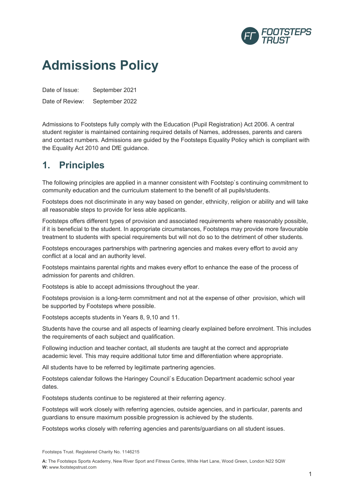

## **Admissions Policy**

Date of Issue: September 2021 Date of Review: September 2022

Admissions to Footsteps fully comply with the Education (Pupil Registration) Act 2006. A central student register is maintained containing required details of Names, addresses, parents and carers and contact numbers. Admissions are guided by the Footsteps Equality Policy which is compliant with the Equality Act 2010 and DfE guidance.

## **1. Principles**

The following principles are applied in a manner consistent with Footstep`s continuing commitment to community education and the curriculum statement to the benefit of all pupils/students.

Footsteps does not discriminate in any way based on gender, ethnicity, religion or ability and will take all reasonable steps to provide for less able applicants.

Footsteps offers different types of provision and associated requirements where reasonably possible, if it is beneficial to the student. In appropriate circumstances, Footsteps may provide more favourable treatment to students with special requirements but will not do so to the detriment of other students.

Footsteps encourages partnerships with partnering agencies and makes every effort to avoid any conflict at a local and an authority level.

Footsteps maintains parental rights and makes every effort to enhance the ease of the process of admission for parents and children.

Footsteps is able to accept admissions throughout the year.

Footsteps provision is a long-term commitment and not at the expense of other provision, which will be supported by Footsteps where possible.

Footsteps accepts students in Years 8, 9,10 and 11.

Students have the course and all aspects of learning clearly explained before enrolment. This includes the requirements of each subject and qualification.

Following induction and teacher contact, all students are taught at the correct and appropriate academic level. This may require additional tutor time and differentiation where appropriate.

All students have to be referred by legitimate partnering agencies.

Footsteps calendar follows the Haringey Council`s Education Department academic school year dates.

Footsteps students continue to be registered at their referring agency.

Footsteps will work closely with referring agencies, outside agencies, and in particular, parents and guardians to ensure maximum possible progression is achieved by the students.

Footsteps works closely with referring agencies and parents/guardians on all student issues.

**A:** The Footsteps Sports Academy, New River Sport and Fitness Centre, White Hart Lane, Wood Green, London N22 5QW **W:** www.footstepstrust.com

Footsteps Trust. Registered Charity No. 1146215